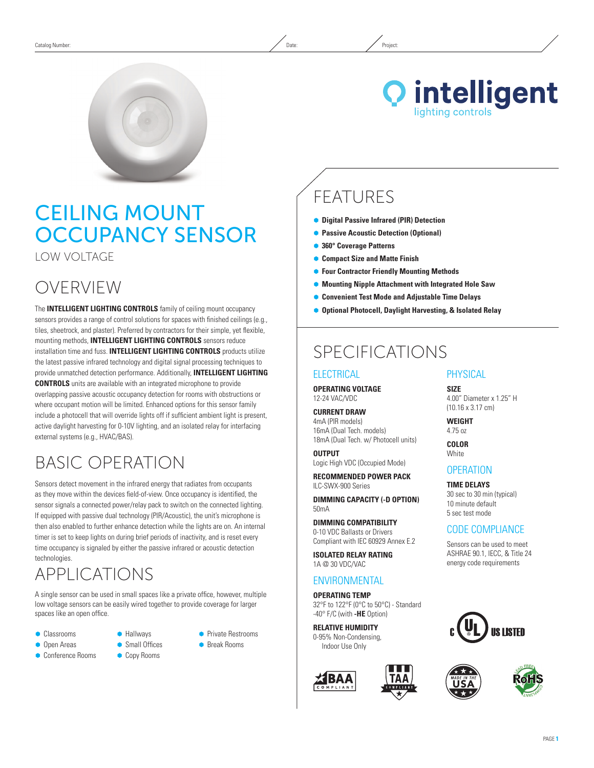

# Ceiling Mount Occupancy Sensor

Low Voltage

# OVERVIEW

The **INTELLIGENT LIGHTING CONTROLS** family of ceiling mount occupancy sensors provides a range of control solutions for spaces with finished ceilings (e.g., tiles, sheetrock, and plaster). Preferred by contractors for their simple, yet flexible, mounting methods, **INTELLIGENT LIGHTING CONTROLS** sensors reduce installation time and fuss. **INTELLIGENT LIGHTING CONTROLS** products utilize the latest passive infrared technology and digital signal processing techniques to provide unmatched detection performance. Additionally, **INTELLIGENT LIGHTING CONTROLS** units are available with an integrated microphone to provide overlapping passive acoustic occupancy detection for rooms with obstructions or where occupant motion will be limited. Enhanced options for this sensor family include a photocell that will override lights off if sufficient ambient light is present, active daylight harvesting for 0-10V lighting, and an isolated relay for interfacing external systems (e.g., HVAC/BAS).

# Basic Operation

Sensors detect movement in the infrared energy that radiates from occupants as they move within the devices field-of-view. Once occupancy is identified, the sensor signals a connected power/relay pack to switch on the connected lighting. If equipped with passive dual technology (PIR/Acoustic), the unit's microphone is then also enabled to further enhance detection while the lights are on. An internal timer is set to keep lights on during brief periods of inactivity, and is reset every time occupancy is signaled by either the passive infrared or acoustic detection technologies.

### APPLICATIONS

A single sensor can be used in small spaces like a private office, however, multiple low voltage sensors can be easily wired together to provide coverage for larger spaces like an open office.

- **Classrooms**
- **Open Areas**
- Ã Conference Rooms
- Ã Hallways
- **Small Offices Copy Rooms**
- Ã Break Rooms

**• Private Restrooms** 

# FEATURES

- Ã **Digital Passive Infrared (PIR) Detection**
- **Passive Acoustic Detection (Optional)**
- Ã **360° Coverage Patterns**
- Ã **Compact Size and Matte Finish**
- **Four Contractor Friendly Mounting Methods**
- Ã **Mounting Nipple Attachment with Integrated Hole Saw**
- **Convenient Test Mode and Adjustable Time Delays**
- Ã **Optional Photocell, Daylight Harvesting, & Isolated Relay**

### SPECIFICATIONS

### **ELECTRICAL**

**Operating Voltage** 12-24 VAC/VDC

**Current Draw** 4mA (PIR models) 16mA (Dual Tech. models) 18mA (Dual Tech. w/ Photocell units)

**Output** Logic High VDC (Occupied Mode)

**Recommended Power Pack** ILC-SWX-900 Series

**DIMMING CAPACITY (-D option)** 50mA

**Dimming Compatibility** 0-10 VDC Ballasts or Drivers Compliant with IEC 60929 Annex E.2

**Isolated Relay Rating** 1A @ 30 VDC/VAC

### **ENVIRONMENTAL**

**Operating Temp** 32°F to 122°F (0°C to 50°C) - Standard -40° F/C (with **-HE** Option)

**Relative Humidity** 0-95% Non-Condensing, Indoor Use Only



### Physical

**Size** 4.00" Diameter x 1.25" H (10.16 x 3.17 cm)

**WEIGHT** 4.75 oz

**Color White** 

### **OPERATION**

**TIME DELAYS** 30 sec to 30 min (typical) 10 minute default 5 sec test mode

### CODE COMPLIANCE

Sensors can be used to meet ASHRAE 90.1, IECC, & Title 24 energy code requirements



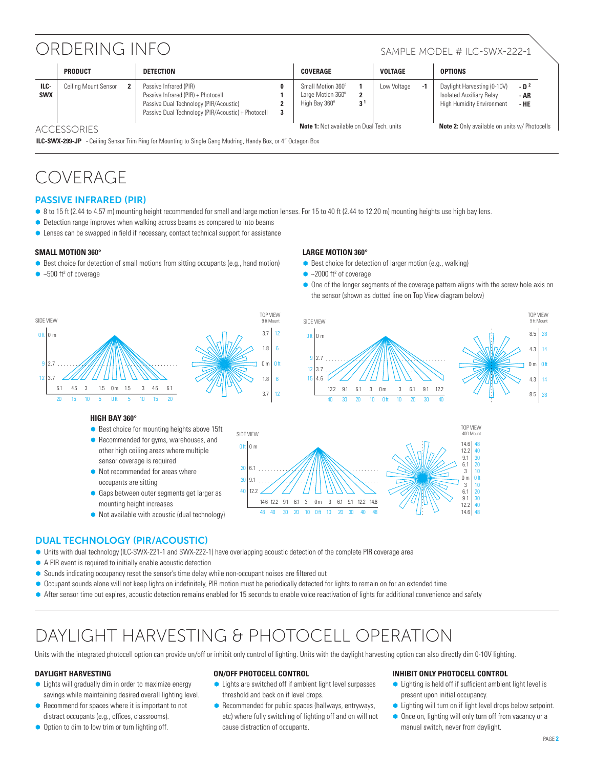# ORDERING INFO SAMPLE MODEL # ILC-SWX-222-1

|                    | <b>PRODUCT</b>       |  | <b>DETECTION</b>                                                                                                                                             |   | COVERAGE                                                |                | <b>VOLTAGE</b> |                                                      | <b>OPTIONS</b>                                                                              |                        |
|--------------------|----------------------|--|--------------------------------------------------------------------------------------------------------------------------------------------------------------|---|---------------------------------------------------------|----------------|----------------|------------------------------------------------------|---------------------------------------------------------------------------------------------|------------------------|
| ILC-<br><b>SWX</b> | Ceiling Mount Sensor |  | Passive Infrared (PIR)<br>Passive Infrared (PIR) + Photocell<br>Passive Dual Technology (PIR/Acoustic)<br>Passive Dual Technology (PIR/Acoustic) + Photocell | 3 | Small Motion 360°<br>Large Motion 360°<br>High Bay 360° | 3 <sup>1</sup> | Low Voltage    | -1                                                   | Daylight Harvesting (0-10V)<br>Isolated Auxiliary Relay<br><b>High Humidity Environment</b> | $-D2$<br>- AR<br>$-HE$ |
| <b>ACCESSORIES</b> |                      |  |                                                                                                                                                              |   | <b>Note 1:</b> Not available on Dual Tech, units        |                |                | <b>Note 2:</b> Only available on units w/ Photocells |                                                                                             |                        |

**ILC-SWX-299-JP** - Ceiling Sensor Trim Ring for Mounting to Single Gang Mudring, Handy Box, or 4" Octagon Box

# COVERAGE

### Passive Infrared (PIR)

● 8 to 15 ft (2.44 to 4.57 m) mounting height recommended for small and large motion lenses. For 15 to 40 ft (2.44 to 12.20 m) mounting heights use high bay lens.

12

- Detection range improves when walking across beams as compared to into beams
- Lenses can be swapped in field if necessary, contact technical support for assistance

#### **Small Motion 360°**

- $\bullet$  Best choice for detection of small motions from sitting occupants (e.g., hand motion)
- $\bullet$  ~500 ft<sup>2</sup> of coverage

#### **LArge Motion 360°**

- $\bullet$  Best choice for detection of larger motion (e.g., walking)
- $\bullet$  ~2000 ft<sup>2</sup> of coverage
- One of the longer segments of the coverage pattern aligns with the screw hole axis on the sensor (shown as dotted line on Top View diagram below)



#### **High Bay 360°**

- Best choice for mounting heights above 15ft ● Recommended for gyms, warehouses, and
- other high ceiling areas where multiple sensor coverage is required  $\bullet$  Not recommended for areas where
- occupants are sitting
- **Gaps between outer segments get larger as** mounting height increases
- Not available with acoustic (dual technology)





### Dual Technology (PIR/Acoustic)

- Ã Units with dual technology (ILC-SWX-221-1 and SWX-222-1) have overlapping acoustic detection of the complete PIR coverage area
- $\bullet$  A PIR event is required to initially enable acoustic detection
- Sounds indicating occupancy reset the sensor's time delay while non-occupant noises are filtered out
- Ã Occupant sounds alone will not keep lights on indefinitely, PIR motion must be periodically detected for lights to remain on for an extended time
- After sensor time out expires, acoustic detection remains enabled for 15 seconds to enable voice reactivation of lights for additional convenience and safety

### DAYLIGHT HARVESTING & PHOTOCELL OPERATION

Units with the integrated photocell option can provide on/off or inhibit only control of lighting. Units with the daylight harvesting option can also directly dim 0-10V lighting.

#### **DAYLIGHT HARVESTING**

- Lights will gradually dim in order to maximize energy savings while maintaining desired overall lighting level.
- $\bullet$  Recommend for spaces where it is important to not distract occupants (e.g., offices, classrooms).
- Option to dim to low trim or turn lighting off.

#### **ON/OFF PHOTOCELL CONTROL**

- Ã Lights are switched off if ambient light level surpasses threshold and back on if level drops.
- Recommended for public spaces (hallways, entryways, etc) where fully switching of lighting off and on will not cause distraction of occupants.

#### **Inhibit ONLY PHOTOCELL CONTROL**

- Ã Lighting is held off if sufficient ambient light level is present upon initial occupancy.
- Lighting will turn on if light level drops below setpoint.
- $\bullet$  Once on, lighting will only turn off from vacancy or a manual switch, never from daylight.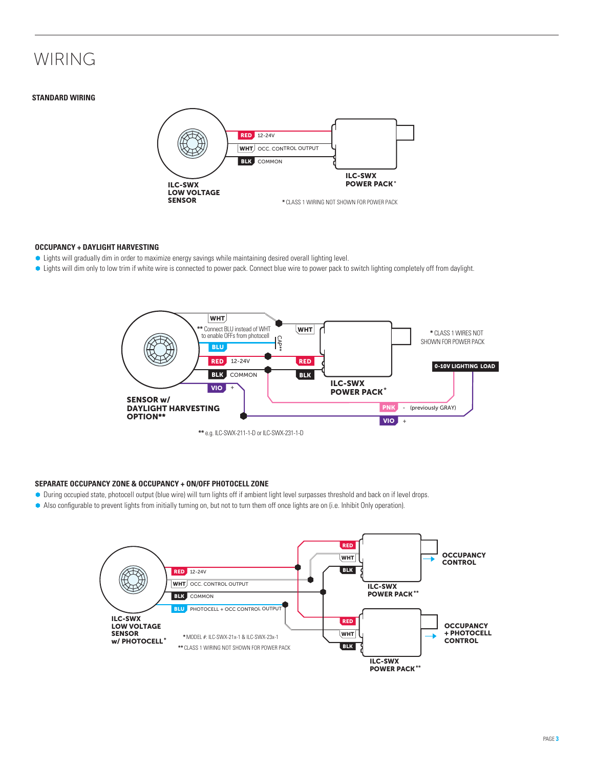# WIRING

#### **Standard Wiring**



#### **Occupancy + DAYLIGHT HARVESTING**

- $\bullet$  Lights will gradually dim in order to maximize energy savings while maintaining desired overall lighting level.
- Lights will dim only to low trim if white wire is connected to power pack. Connect blue wire to power pack to switch lighting completely off from daylight.



**\*\*** e.g. ILC-SWX-211-1-D or ILC-SWX-231-1-D

#### **Separate Occupancy ZONE & OCCUPANCY + ON/OFF Photocell Zone**

- Ã During occupied state, photocell output (blue wire) will turn lights off if ambient light level surpasses threshold and back on if level drops.
- Ã Also configurable to prevent lights from initially turning on, but not to turn them off once lights are on (i.e. Inhibit Only operation).